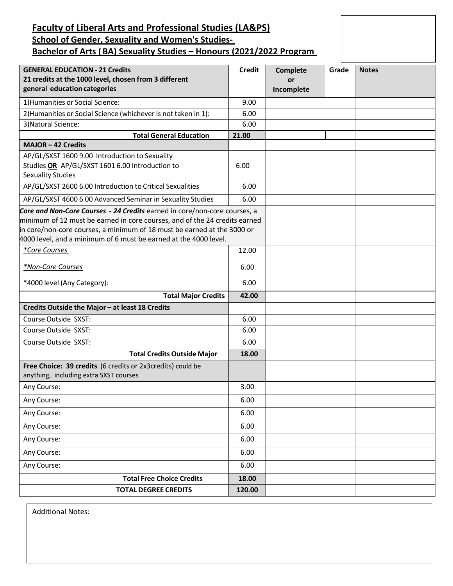# **Faculty of Liberal Arts and Professional Studies (LA&PS) School of Gender, Sexuality and Women's Studies-Bachelor of Arts (BA) Sexuality Studies – Honours (2021/2022 Program**

| <b>GENERAL EDUCATION - 21 Credits</b>                                                                                                                                                                                                                                                                  | <b>Credit</b> | Complete   | Grade | <b>Notes</b> |
|--------------------------------------------------------------------------------------------------------------------------------------------------------------------------------------------------------------------------------------------------------------------------------------------------------|---------------|------------|-------|--------------|
| 21 credits at the 1000 level, chosen from 3 different                                                                                                                                                                                                                                                  |               | or         |       |              |
| general education categories                                                                                                                                                                                                                                                                           |               | Incomplete |       |              |
| 1) Humanities or Social Science:                                                                                                                                                                                                                                                                       | 9.00          |            |       |              |
| 2) Humanities or Social Science (whichever is not taken in 1):                                                                                                                                                                                                                                         | 6.00          |            |       |              |
| 3) Natural Science:                                                                                                                                                                                                                                                                                    | 6.00          |            |       |              |
| <b>Total General Education</b>                                                                                                                                                                                                                                                                         | 21.00         |            |       |              |
| <b>MAJOR-42 Credits</b>                                                                                                                                                                                                                                                                                |               |            |       |              |
| AP/GL/SXST 1600 9.00 Introduction to Sexuality<br>Studies OR AP/GL/SXST 1601 6.00 Introduction to<br><b>Sexuality Studies</b>                                                                                                                                                                          | 6.00          |            |       |              |
| AP/GL/SXST 2600 6.00 Introduction to Critical Sexualities                                                                                                                                                                                                                                              | 6.00          |            |       |              |
| AP/GL/SXST 4600 6.00 Advanced Seminar in Sexuality Studies                                                                                                                                                                                                                                             | 6.00          |            |       |              |
| Core and Non-Core Courses - 24 Credits earned in core/non-core courses, a<br>minimum of 12 must be earned in core courses, and of the 24 credits earned<br>in core/non-core courses, a minimum of 18 must be earned at the 3000 or<br>4000 level, and a minimum of 6 must be earned at the 4000 level. |               |            |       |              |
| *Core Courses                                                                                                                                                                                                                                                                                          | 12.00         |            |       |              |
| *Non-Core Courses                                                                                                                                                                                                                                                                                      | 6.00          |            |       |              |
| *4000 level (Any Category):                                                                                                                                                                                                                                                                            | 6.00          |            |       |              |
| <b>Total Major Credits</b>                                                                                                                                                                                                                                                                             | 42.00         |            |       |              |
| Credits Outside the Major - at least 18 Credits                                                                                                                                                                                                                                                        |               |            |       |              |
| Course Outside SXST:                                                                                                                                                                                                                                                                                   | 6.00          |            |       |              |
| Course Outside SXST:                                                                                                                                                                                                                                                                                   | 6.00          |            |       |              |
| Course Outside SXST:                                                                                                                                                                                                                                                                                   | 6.00          |            |       |              |
| <b>Total Credits Outside Major</b>                                                                                                                                                                                                                                                                     | 18.00         |            |       |              |
| Free Choice: 39 credits (6 credits or 2x3 credits) could be<br>anything, including extra SXST courses                                                                                                                                                                                                  |               |            |       |              |
| Any Course:                                                                                                                                                                                                                                                                                            | 3.00          |            |       |              |
| Any Course:                                                                                                                                                                                                                                                                                            | 6.00          |            |       |              |
| Any Course:                                                                                                                                                                                                                                                                                            | 6.00          |            |       |              |
| Any Course:                                                                                                                                                                                                                                                                                            | 6.00          |            |       |              |
| Any Course:                                                                                                                                                                                                                                                                                            | 6.00          |            |       |              |
| Any Course:                                                                                                                                                                                                                                                                                            | 6.00          |            |       |              |
| Any Course:                                                                                                                                                                                                                                                                                            | 6.00          |            |       |              |
| <b>Total Free Choice Credits</b>                                                                                                                                                                                                                                                                       | 18.00         |            |       |              |
| <b>TOTAL DEGREE CREDITS</b>                                                                                                                                                                                                                                                                            | 120.00        |            |       |              |

Additional Notes: